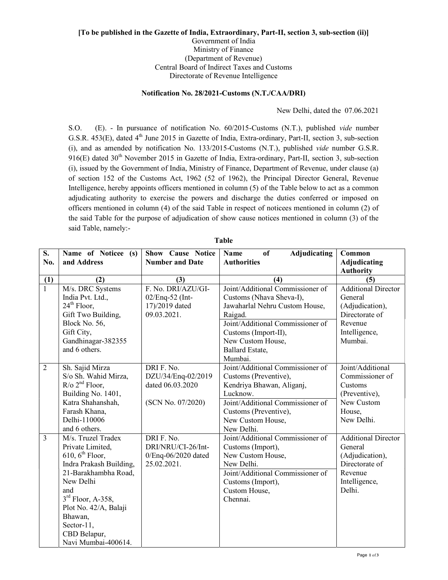## [To be published in the Gazette of India, Extraordinary, Part-II, section 3, sub-section (ii)] Government of India Ministry of Finance (Department of Revenue) Central Board of Indirect Taxes and Customs Directorate of Revenue Intelligence

## Notification No. 28/2021-Customs (N.T./CAA/DRI)

New Delhi, dated the 07.06.2021

S.O. (E). - In pursuance of notification No. 60/2015-Customs (N.T.), published vide number G.S.R. 453(E), dated 4<sup>th</sup> June 2015 in Gazette of India, Extra-ordinary, Part-II, section 3, sub-section (i), and as amended by notification No. 133/2015-Customs (N.T.), published vide number G.S.R. 916(E) dated 30<sup>th</sup> November 2015 in Gazette of India, Extra-ordinary, Part-II, section 3, sub-section (i), issued by the Government of India, Ministry of Finance, Department of Revenue, under clause (a) of section 152 of the Customs Act, 1962 (52 of 1962), the Principal Director General, Revenue Intelligence, hereby appoints officers mentioned in column (5) of the Table below to act as a common adjudicating authority to exercise the powers and discharge the duties conferred or imposed on officers mentioned in column (4) of the said Table in respect of noticees mentioned in column (2) of the said Table for the purpose of adjudication of show cause notices mentioned in column (3) of the said Table, namely:-

| S.             | Name of Noticee (s)         | <b>Show Cause Notice</b> | <b>Adjudicating</b><br><b>Name</b><br>of | Common                     |
|----------------|-----------------------------|--------------------------|------------------------------------------|----------------------------|
| No.            | and Address                 | <b>Number and Date</b>   | <b>Authorities</b>                       | <b>Adjudicating</b>        |
|                |                             |                          |                                          | <b>Authority</b>           |
| (1)            | (2)                         | (3)                      | (4)                                      | (5)                        |
| $\overline{1}$ | M/s. DRC Systems            | F. No. DRI/AZU/GI-       | Joint/Additional Commissioner of         | <b>Additional Director</b> |
|                | India Pvt. Ltd.,            | 02/Enq-52 (Int-          | Customs (Nhava Sheva-I),                 | General                    |
|                | $24th$ Floor,               | 17)/2019 dated           | Jawaharlal Nehru Custom House,           | (Adjudication),            |
|                | Gift Two Building,          | 09.03.2021.              | Raigad.                                  | Directorate of             |
|                | Block No. 56,               |                          | Joint/Additional Commissioner of         | Revenue                    |
|                | Gift City,                  |                          | Customs (Import-II),                     | Intelligence,              |
|                | Gandhinagar-382355          |                          | New Custom House,                        | Mumbai.                    |
|                | and 6 others.               |                          | Ballard Estate,                          |                            |
|                |                             |                          | Mumbai.                                  |                            |
| $\overline{2}$ | Sh. Sajid Mirza             | DRI F. No.               | Joint/Additional Commissioner of         | Joint/Additional           |
|                | S/o Sh. Wahid Mirza,        | DZU/34/Enq-02/2019       | Customs (Preventive),                    | Commissioner of            |
|                | $R$ /o $2nd$ Floor,         | dated 06.03.2020         | Kendriya Bhawan, Aliganj,                | Customs                    |
|                | Building No. 1401,          |                          | Lucknow.                                 | (Preventive),              |
|                | Katra Shahanshah,           | (SCN No. 07/2020)        | Joint/Additional Commissioner of         | New Custom                 |
|                | Farash Khana,               |                          | Customs (Preventive),                    | House,                     |
|                | Delhi-110006                |                          | New Custom House,                        | New Delhi.                 |
|                | and 6 others.               |                          | New Delhi.                               |                            |
| $\overline{3}$ | M/s. Truzel Tradex          | DRI F. No.               | Joint/Additional Commissioner of         | <b>Additional Director</b> |
|                | Private Limited,            | DRI/NRU/CI-26/Int-       | Customs (Import),                        | General                    |
|                | $610, 6^{\text{th}}$ Floor, | 0/Enq-06/2020 dated      | New Custom House,                        | (Adjudication),            |
|                | Indra Prakash Building,     | 25.02.2021.              | New Delhi.                               | Directorate of             |
|                | 21-Barakhambha Road,        |                          | Joint/Additional Commissioner of         | Revenue                    |
|                | New Delhi                   |                          | Customs (Import),                        | Intelligence,              |
|                | and                         |                          | Custom House,                            | Delhi.                     |
|                | $3rd$ Floor, A-358,         |                          | Chennai.                                 |                            |
|                | Plot No. 42/A, Balaji       |                          |                                          |                            |
|                | Bhawan,                     |                          |                                          |                            |
|                | Sector-11,                  |                          |                                          |                            |
|                | CBD Belapur,                |                          |                                          |                            |
|                | Navi Mumbai-400614.         |                          |                                          |                            |

Table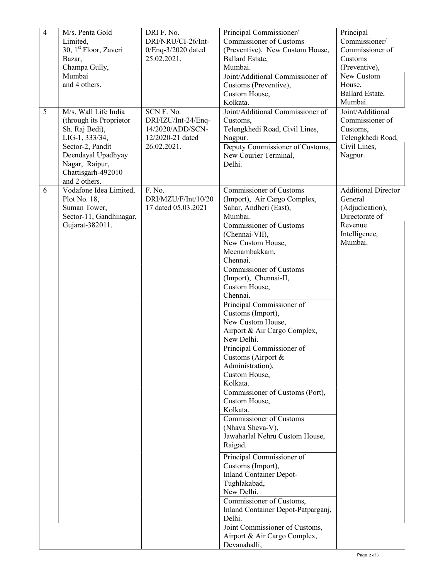| $\overline{4}$ | M/s. Penta Gold<br>Limited,<br>30, 1 <sup>st</sup> Floor, Zaveri<br>Bazar,<br>Champa Gully,<br>Mumbai<br>and 4 others.                                                                 | DRI F. No.<br>DRI/NRU/CI-26/Int-<br>$0$ /Enq-3/2020 dated<br>25.02.2021.                 | Principal Commissioner/<br>Commissioner of Customs<br>(Preventive), New Custom House,<br>Ballard Estate,<br>Mumbai.<br>Joint/Additional Commissioner of<br>Customs (Preventive),<br>Custom House,<br>Kolkata.                                                                                                                                                                                                                                                                                                                                                                                                                                                                                                                                                                                                                                                                                                                                     | Principal<br>Commissioner/<br>Commissioner of<br>Customs<br>(Preventive),<br>New Custom<br>House,<br>Ballard Estate,<br>Mumbai. |
|----------------|----------------------------------------------------------------------------------------------------------------------------------------------------------------------------------------|------------------------------------------------------------------------------------------|---------------------------------------------------------------------------------------------------------------------------------------------------------------------------------------------------------------------------------------------------------------------------------------------------------------------------------------------------------------------------------------------------------------------------------------------------------------------------------------------------------------------------------------------------------------------------------------------------------------------------------------------------------------------------------------------------------------------------------------------------------------------------------------------------------------------------------------------------------------------------------------------------------------------------------------------------|---------------------------------------------------------------------------------------------------------------------------------|
| 5              | M/s. Wall Life India<br>(through its Proprietor<br>Sh. Raj Bedi),<br>LIG-1, 333/34,<br>Sector-2, Pandit<br>Deendayal Upadhyay<br>Nagar, Raipur,<br>Chattisgarh-492010<br>and 2 others. | SCN F. No.<br>DRI/IZU/Int-24/Enq-<br>14/2020/ADD/SCN-<br>12/2020-21 dated<br>26.02.2021. | Joint/Additional Commissioner of<br>Customs,<br>Telengkhedi Road, Civil Lines,<br>Nagpur.<br>Deputy Commissioner of Customs,<br>New Courier Terminal,<br>Delhi.                                                                                                                                                                                                                                                                                                                                                                                                                                                                                                                                                                                                                                                                                                                                                                                   | Joint/Additional<br>Commissioner of<br>Customs,<br>Telengkhedi Road,<br>Civil Lines,<br>Nagpur.                                 |
| 6              | Vodafone Idea Limited,<br>Plot No. 18,<br>Suman Tower,<br>Sector-11, Gandhinagar,<br>Gujarat-382011.                                                                                   | F. No.<br>DRI/MZU/F/Int/10/20<br>17 dated 05.03.2021                                     | Commissioner of Customs<br>(Import), Air Cargo Complex,<br>Sahar, Andheri (East),<br>Mumbai.<br>Commissioner of Customs<br>(Chennai-VII),<br>New Custom House,<br>Meenambakkam,<br>Chennai.<br>Commissioner of Customs<br>(Import), Chennai-II,<br>Custom House,<br>Chennai.<br>Principal Commissioner of<br>Customs (Import),<br>New Custom House,<br>Airport & Air Cargo Complex,<br>New Delhi.<br>Principal Commissioner of<br>Customs (Airport &<br>Administration),<br>Custom House,<br>Kolkata.<br>Commissioner of Customs (Port),<br>Custom House,<br>Kolkata.<br>Commissioner of Customs<br>(Nhava Sheva-V),<br>Jawaharlal Nehru Custom House,<br>Raigad.<br>Principal Commissioner of<br>Customs (Import),<br><b>Inland Container Depot-</b><br>Tughlakabad,<br>New Delhi.<br>Commissioner of Customs,<br>Inland Container Depot-Patparganj,<br>Delhi.<br>Joint Commissioner of Customs,<br>Airport & Air Cargo Complex,<br>Devanahalli, | <b>Additional Director</b><br>General<br>(Adjudication),<br>Directorate of<br>Revenue<br>Intelligence,<br>Mumbai.               |